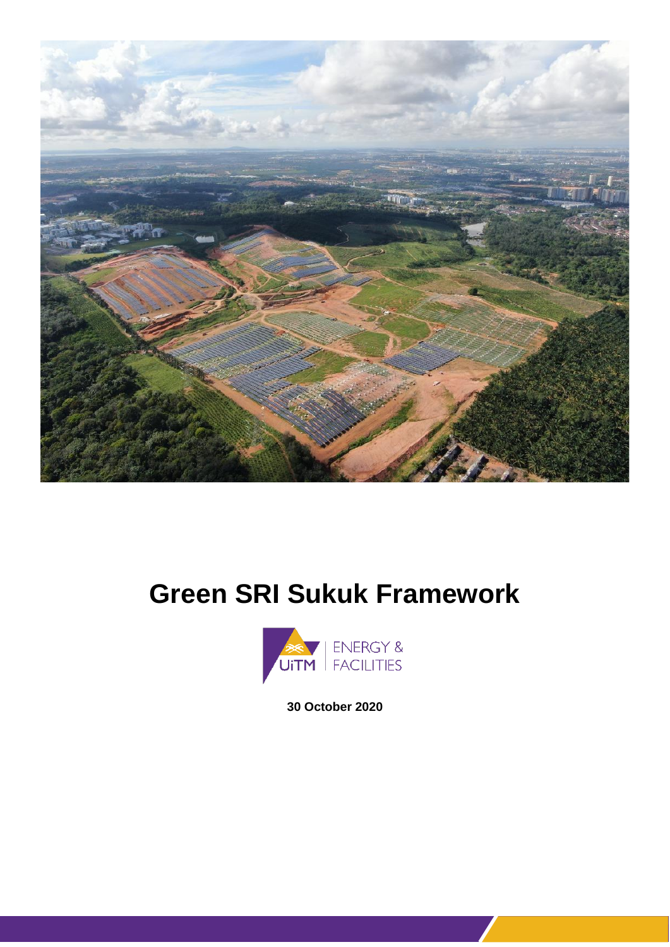

# **Green SRI Sukuk Framework**



**30 October 2020**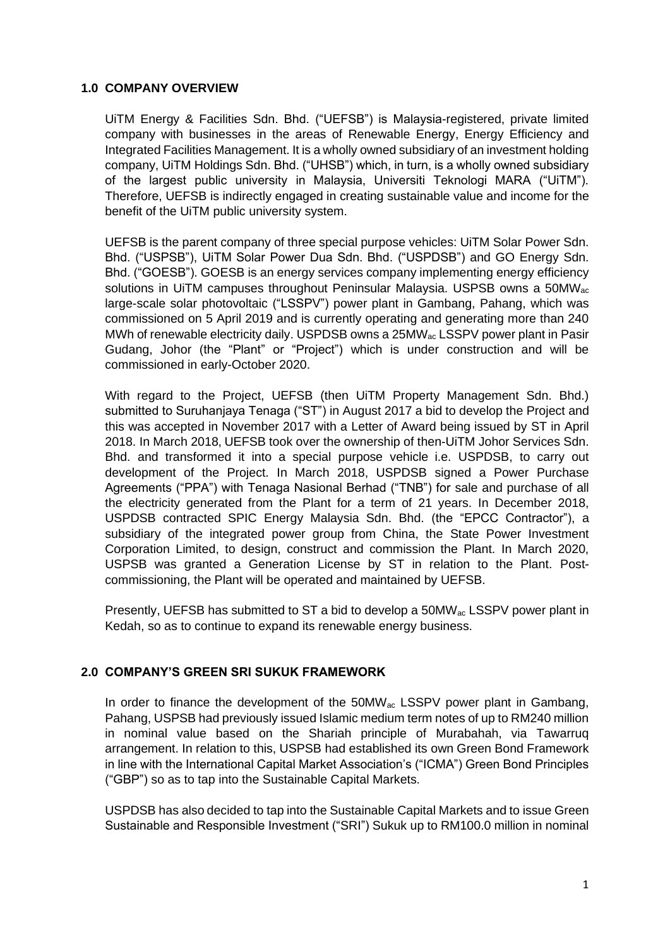### **1.0 COMPANY OVERVIEW**

UiTM Energy & Facilities Sdn. Bhd. ("UEFSB") is Malaysia-registered, private limited company with businesses in the areas of Renewable Energy, Energy Efficiency and Integrated Facilities Management. It is a wholly owned subsidiary of an investment holding company, UiTM Holdings Sdn. Bhd. ("UHSB") which, in turn, is a wholly owned subsidiary of the largest public university in Malaysia, Universiti Teknologi MARA ("UiTM"). Therefore, UEFSB is indirectly engaged in creating sustainable value and income for the benefit of the UiTM public university system.

UEFSB is the parent company of three special purpose vehicles: UiTM Solar Power Sdn. Bhd. ("USPSB"), UiTM Solar Power Dua Sdn. Bhd. ("USPDSB") and GO Energy Sdn. Bhd. ("GOESB"). GOESB is an energy services company implementing energy efficiency solutions in UiTM campuses throughout Peninsular Malaysia. USPSB owns a 50MWac large-scale solar photovoltaic ("LSSPV") power plant in Gambang, Pahang, which was commissioned on 5 April 2019 and is currently operating and generating more than 240 MWh of renewable electricity daily. USPDSB owns a 25MWac LSSPV power plant in Pasir Gudang, Johor (the "Plant" or "Project") which is under construction and will be commissioned in early-October 2020.

With regard to the Project, UEFSB (then UiTM Property Management Sdn. Bhd.) submitted to Suruhanjaya Tenaga ("ST") in August 2017 a bid to develop the Project and this was accepted in November 2017 with a Letter of Award being issued by ST in April 2018. In March 2018, UEFSB took over the ownership of then-UiTM Johor Services Sdn. Bhd. and transformed it into a special purpose vehicle i.e. USPDSB, to carry out development of the Project. In March 2018, USPDSB signed a Power Purchase Agreements ("PPA") with Tenaga Nasional Berhad ("TNB") for sale and purchase of all the electricity generated from the Plant for a term of 21 years. In December 2018, USPDSB contracted SPIC Energy Malaysia Sdn. Bhd. (the "EPCC Contractor"), a subsidiary of the integrated power group from China, the State Power Investment Corporation Limited, to design, construct and commission the Plant. In March 2020, USPSB was granted a Generation License by ST in relation to the Plant. Postcommissioning, the Plant will be operated and maintained by UEFSB.

Presently, UEFSB has submitted to ST a bid to develop a 50MWac LSSPV power plant in Kedah, so as to continue to expand its renewable energy business.

# **2.0 COMPANY'S GREEN SRI SUKUK FRAMEWORK**

In order to finance the development of the 50MW<sub>ac</sub> LSSPV power plant in Gambang, Pahang, USPSB had previously issued Islamic medium term notes of up to RM240 million in nominal value based on the Shariah principle of Murabahah, via Tawarruq arrangement. In relation to this, USPSB had established its own Green Bond Framework in line with the International Capital Market Association's ("ICMA") Green Bond Principles ("GBP") so as to tap into the Sustainable Capital Markets.

USPDSB has also decided to tap into the Sustainable Capital Markets and to issue Green Sustainable and Responsible Investment ("SRI") Sukuk up to RM100.0 million in nominal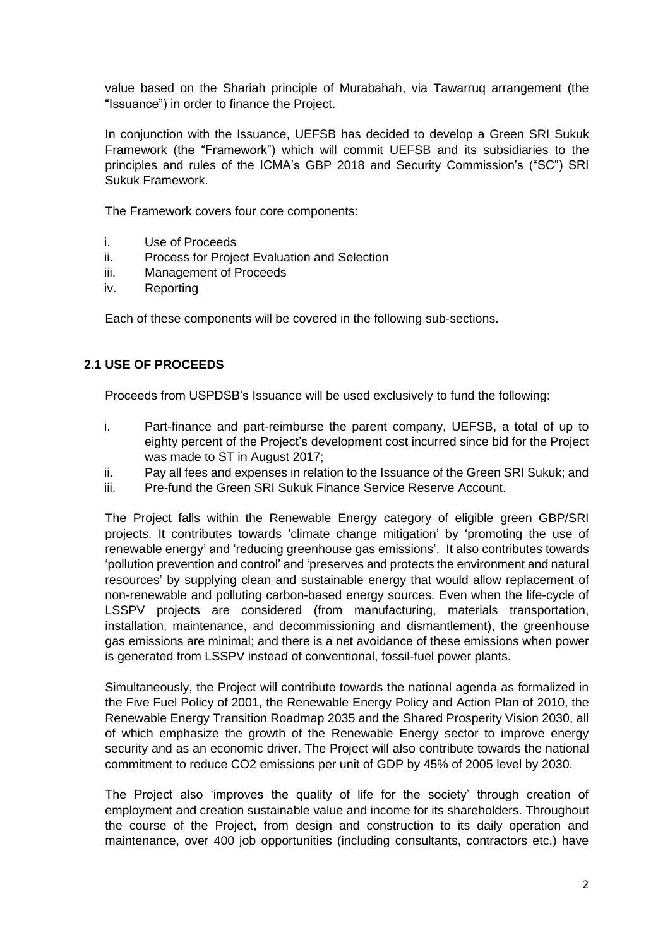value based on the Shariah principle of Murabahah, via Tawarruq arrangement (the "Issuance") in order to finance the Project.

In conjunction with the Issuance, UEFSB has decided to develop a Green SRI Sukuk Framework (the "Framework") which will commit UEFSB and its subsidiaries to the principles and rules of the ICMA's GBP 2018 and Security Commission's ("SC") SRI Sukuk Framework.

The Framework covers four core components:

- i. Use of Proceeds
- ii. Process for Project Evaluation and Selection
- iii. Management of Proceeds
- iv. Reporting

Each of these components will be covered in the following sub-sections.

# **2.1 USE OF PROCEEDS**

Proceeds from USPDSB's Issuance will be used exclusively to fund the following:

- i. Part-finance and part-reimburse the parent company, UEFSB, a total of up to eighty percent of the Project's development cost incurred since bid for the Project was made to ST in August 2017;
- ii. Pay all fees and expenses in relation to the Issuance of the Green SRI Sukuk; and
- iii. Pre-fund the Green SRI Sukuk Finance Service Reserve Account.

The Project falls within the Renewable Energy category of eligible green GBP/SRI projects. It contributes towards 'climate change mitigation' by 'promoting the use of renewable energy' and 'reducing greenhouse gas emissions'. It also contributes towards 'pollution prevention and control' and 'preserves and protects the environment and natural resources' by supplying clean and sustainable energy that would allow replacement of non-renewable and polluting carbon-based energy sources. Even when the life-cycle of LSSPV projects are considered (from manufacturing, materials transportation, installation, maintenance, and decommissioning and dismantlement), the greenhouse gas emissions are minimal; and there is a net avoidance of these emissions when power is generated from LSSPV instead of conventional, fossil-fuel power plants.

Simultaneously, the Project will contribute towards the national agenda as formalized in the Five Fuel Policy of 2001, the Renewable Energy Policy and Action Plan of 2010, the Renewable Energy Transition Roadmap 2035 and the Shared Prosperity Vision 2030, all of which emphasize the growth of the Renewable Energy sector to improve energy security and as an economic driver. The Project will also contribute towards the national commitment to reduce CO2 emissions per unit of GDP by 45% of 2005 level by 2030.

The Project also 'improves the quality of life for the society' through creation of employment and creation sustainable value and income for its shareholders. Throughout the course of the Project, from design and construction to its daily operation and maintenance, over 400 job opportunities (including consultants, contractors etc.) have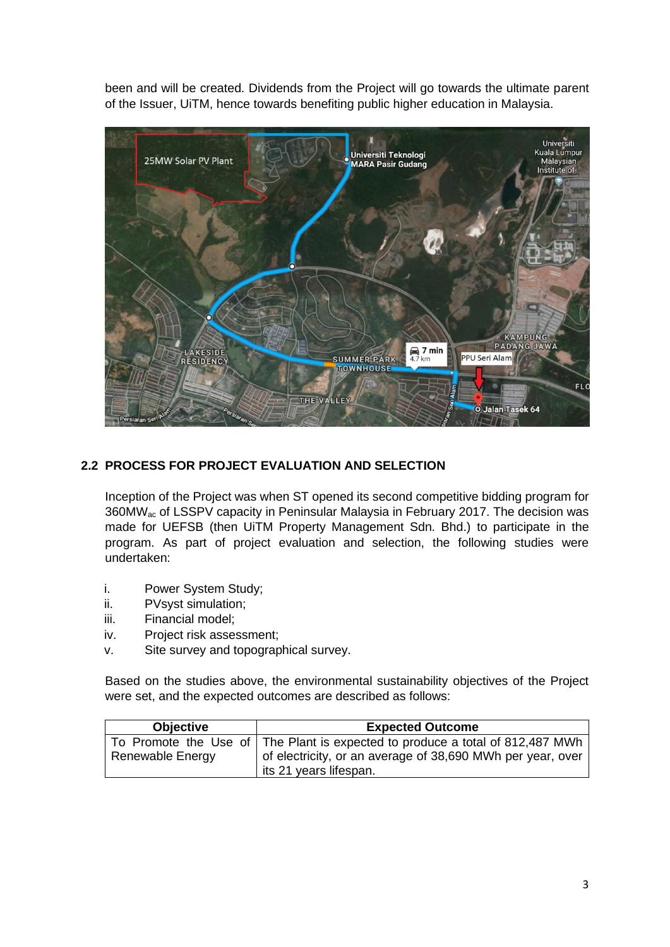been and will be created. Dividends from the Project will go towards the ultimate parent of the Issuer, UiTM, hence towards benefiting public higher education in Malaysia.



# **2.2 PROCESS FOR PROJECT EVALUATION AND SELECTION**

Inception of the Project was when ST opened its second competitive bidding program for 360MWac of LSSPV capacity in Peninsular Malaysia in February 2017. The decision was made for UEFSB (then UiTM Property Management Sdn. Bhd.) to participate in the program. As part of project evaluation and selection, the following studies were undertaken:

- i. Power System Study;
- ii. PVsyst simulation;
- iii. Financial model;
- iv. Project risk assessment;
- v. Site survey and topographical survey.

Based on the studies above, the environmental sustainability objectives of the Project were set, and the expected outcomes are described as follows:

| <b>Objective</b> | <b>Expected Outcome</b>                                                              |
|------------------|--------------------------------------------------------------------------------------|
|                  | To Promote the Use of The Plant is expected to produce a total of 812,487 MWh        |
| Renewable Energy | of electricity, or an average of 38,690 MWh per year, over<br>its 21 years lifespan. |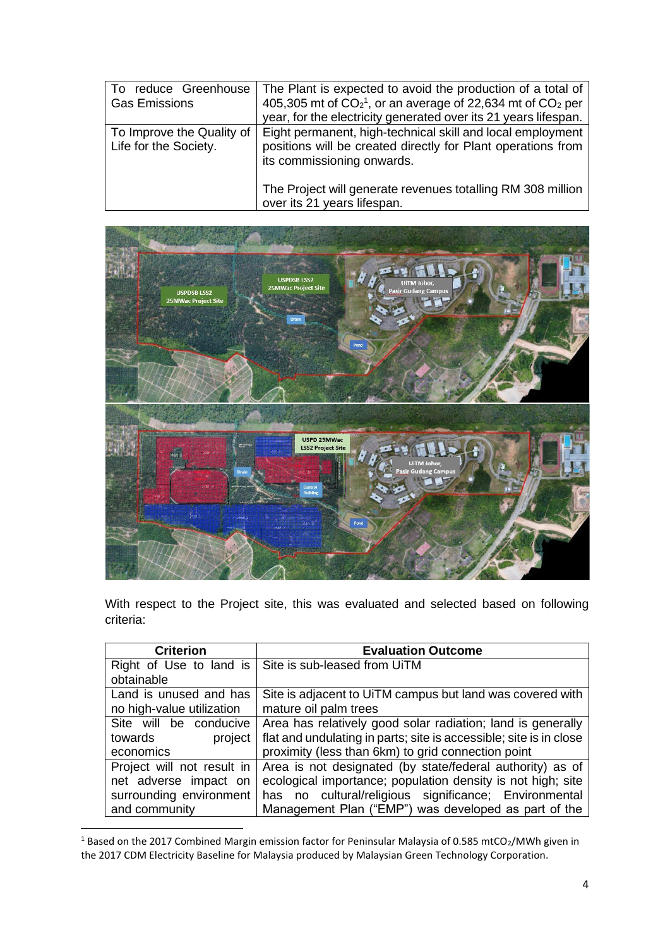| To reduce Greenhouse<br><b>Gas Emissions</b>       | The Plant is expected to avoid the production of a total of<br>405,305 mt of $CO21$ , or an average of 22,634 mt of $CO2$ per<br>year, for the electricity generated over its 21 years lifespan. |
|----------------------------------------------------|--------------------------------------------------------------------------------------------------------------------------------------------------------------------------------------------------|
| To Improve the Quality of<br>Life for the Society. | Eight permanent, high-technical skill and local employment<br>positions will be created directly for Plant operations from<br>its commissioning onwards.                                         |
|                                                    | The Project will generate revenues totalling RM 308 million<br>over its 21 years lifespan.                                                                                                       |



With respect to the Project site, this was evaluated and selected based on following criteria:

| <b>Criterion</b>           | <b>Evaluation Outcome</b>                                          |
|----------------------------|--------------------------------------------------------------------|
| Right of Use to land is    | Site is sub-leased from UiTM                                       |
| obtainable                 |                                                                    |
| Land is unused and has     | Site is adjacent to UiTM campus but land was covered with          |
| no high-value utilization  | mature oil palm trees                                              |
| Site will be conducive     | Area has relatively good solar radiation; land is generally        |
| towards<br>project         | flat and undulating in parts; site is accessible; site is in close |
| economics                  | proximity (less than 6km) to grid connection point                 |
| Project will not result in | Area is not designated (by state/federal authority) as of          |
| net adverse impact on      | ecological importance; population density is not high; site        |
| surrounding environment    | cultural/religious significance; Environmental<br>has no           |
| and community              | Management Plan ("EMP") was developed as part of the               |

<sup>&</sup>lt;sup>1</sup> Based on the 2017 Combined Margin emission factor for Peninsular Malaysia of 0.585 mtCO<sub>2</sub>/MWh given in the 2017 CDM Electricity Baseline for Malaysia produced by Malaysian Green Technology Corporation.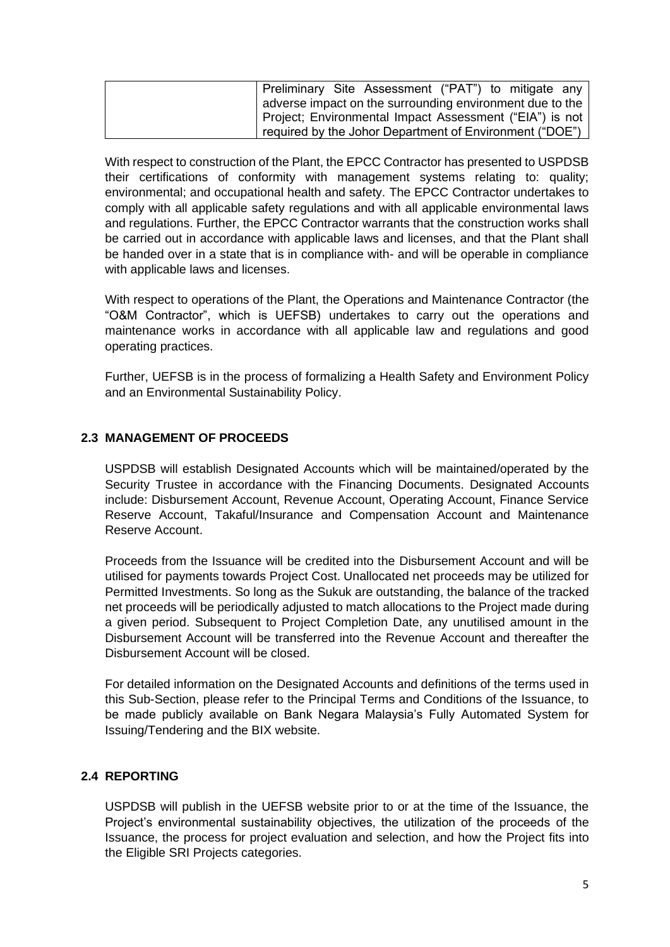| Preliminary Site Assessment ("PAT") to mitigate any      |
|----------------------------------------------------------|
| adverse impact on the surrounding environment due to the |
| Project; Environmental Impact Assessment ("EIA") is not  |
| required by the Johor Department of Environment ("DOE")  |

With respect to construction of the Plant, the EPCC Contractor has presented to USPDSB their certifications of conformity with management systems relating to: quality; environmental; and occupational health and safety. The EPCC Contractor undertakes to comply with all applicable safety regulations and with all applicable environmental laws and regulations. Further, the EPCC Contractor warrants that the construction works shall be carried out in accordance with applicable laws and licenses, and that the Plant shall be handed over in a state that is in compliance with- and will be operable in compliance with applicable laws and licenses.

With respect to operations of the Plant, the Operations and Maintenance Contractor (the "O&M Contractor", which is UEFSB) undertakes to carry out the operations and maintenance works in accordance with all applicable law and regulations and good operating practices.

Further, UEFSB is in the process of formalizing a Health Safety and Environment Policy and an Environmental Sustainability Policy.

## **2.3 MANAGEMENT OF PROCEEDS**

USPDSB will establish Designated Accounts which will be maintained/operated by the Security Trustee in accordance with the Financing Documents. Designated Accounts include: Disbursement Account, Revenue Account, Operating Account, Finance Service Reserve Account, Takaful/Insurance and Compensation Account and Maintenance Reserve Account.

Proceeds from the Issuance will be credited into the Disbursement Account and will be utilised for payments towards Project Cost. Unallocated net proceeds may be utilized for Permitted Investments. So long as the Sukuk are outstanding, the balance of the tracked net proceeds will be periodically adjusted to match allocations to the Project made during a given period. Subsequent to Project Completion Date, any unutilised amount in the Disbursement Account will be transferred into the Revenue Account and thereafter the Disbursement Account will be closed.

For detailed information on the Designated Accounts and definitions of the terms used in this Sub-Section, please refer to the Principal Terms and Conditions of the Issuance, to be made publicly available on Bank Negara Malaysia's Fully Automated System for Issuing/Tendering and the BIX website.

### **2.4 REPORTING**

USPDSB will publish in the UEFSB website prior to or at the time of the Issuance, the Project's environmental sustainability objectives, the utilization of the proceeds of the Issuance, the process for project evaluation and selection, and how the Project fits into the Eligible SRI Projects categories.